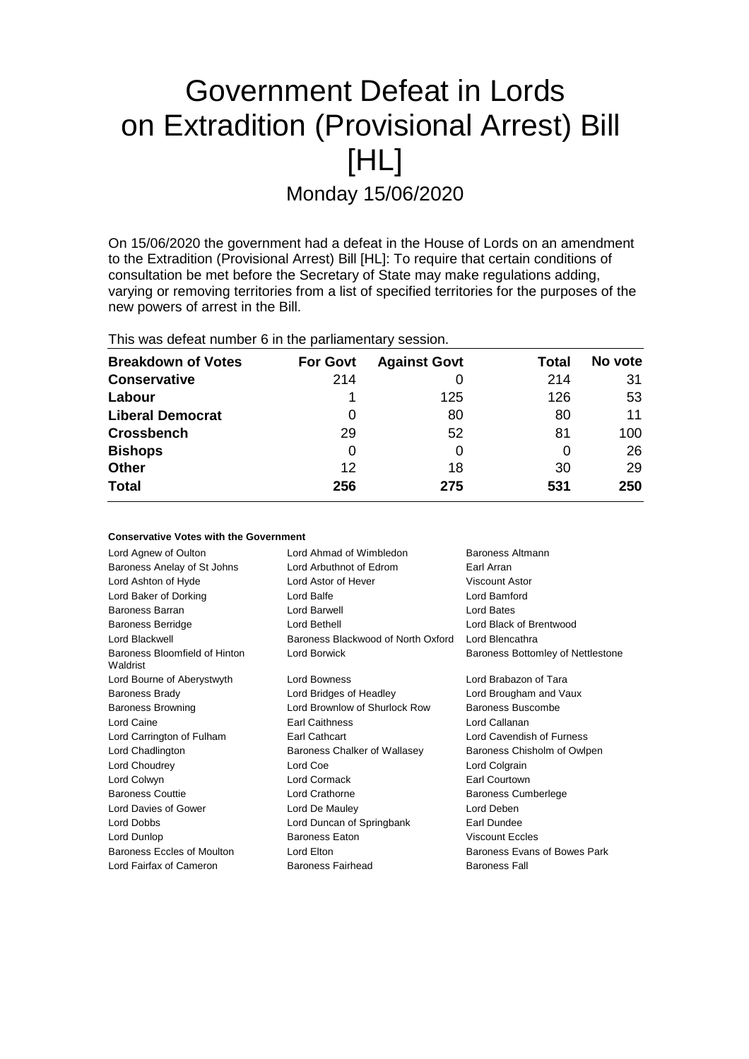# Government Defeat in Lords on Extradition (Provisional Arrest) Bill [HL]

Monday 15/06/2020

On 15/06/2020 the government had a defeat in the House of Lords on an amendment to the Extradition (Provisional Arrest) Bill [HL]: To require that certain conditions of consultation be met before the Secretary of State may make regulations adding, varying or removing territories from a list of specified territories for the purposes of the new powers of arrest in the Bill.

This was defeat number 6 in the parliamentary session.

**Conservative Votes with the Government**

| <b>Breakdown of Votes</b> | <b>For Govt</b> | <b>Against Govt</b> | Total | No vote |
|---------------------------|-----------------|---------------------|-------|---------|
| <b>Conservative</b>       | 214             |                     | 214   | 31      |
| Labour                    |                 | 125                 | 126   | 53      |
| <b>Liberal Democrat</b>   | 0               | 80                  | 80    | 11      |
| <b>Crossbench</b>         | 29              | 52                  | 81    | 100     |
| <b>Bishops</b>            | 0               |                     | 0     | 26      |
| <b>Other</b>              | 12              | 18                  | 30    | 29      |
| <b>Total</b>              | 256             | 275                 | 531   | 250     |

| אוויואז ישעוני ישנעט אוויר                |                                             |                                   |  |
|-------------------------------------------|---------------------------------------------|-----------------------------------|--|
| Lord Agnew of Oulton                      | Lord Ahmad of Wimbledon<br>Baroness Altmann |                                   |  |
| Baroness Anelay of St Johns               | Lord Arbuthnot of Edrom                     | Earl Arran                        |  |
| Lord Ashton of Hyde                       | Lord Astor of Hever                         | Viscount Astor                    |  |
| Lord Baker of Dorking                     | Lord Balfe                                  | Lord Bamford                      |  |
| Baroness Barran                           | Lord Barwell                                | Lord Bates                        |  |
| <b>Baroness Berridge</b>                  | Lord Bethell                                | Lord Black of Brentwood           |  |
| Lord Blackwell                            | Baroness Blackwood of North Oxford          | Lord Blencathra                   |  |
| Baroness Bloomfield of Hinton<br>Waldrist | Lord Borwick                                | Baroness Bottomley of Nettlestone |  |
| Lord Bourne of Aberystwyth                | Lord Bowness                                | Lord Brabazon of Tara             |  |
| <b>Baroness Brady</b>                     | Lord Bridges of Headley                     | Lord Brougham and Vaux            |  |
| <b>Baroness Browning</b>                  | Lord Brownlow of Shurlock Row               | Baroness Buscombe                 |  |
| Lord Caine                                | <b>Earl Caithness</b>                       | Lord Callanan                     |  |
| Lord Carrington of Fulham                 | Earl Cathcart                               | Lord Cavendish of Furness         |  |
| Lord Chadlington                          | Baroness Chalker of Wallasey                | Baroness Chisholm of Owlpen       |  |
| Lord Choudrey                             | Lord Coe                                    | Lord Colgrain                     |  |
| Lord Colwyn                               | Lord Cormack                                | Earl Courtown                     |  |
| <b>Baroness Couttie</b>                   | <b>Lord Crathorne</b>                       | <b>Baroness Cumberlege</b>        |  |
| Lord Davies of Gower                      | Lord De Mauley                              | Lord Deben                        |  |
| Lord Dobbs                                | Lord Duncan of Springbank                   | Earl Dundee                       |  |
| Lord Dunlop                               | <b>Baroness Eaton</b>                       | <b>Viscount Eccles</b>            |  |
| Baroness Eccles of Moulton                | Lord Elton                                  | Baroness Evans of Bowes Park      |  |
| Lord Fairfax of Cameron                   | Baroness Fairhead                           | <b>Baroness Fall</b>              |  |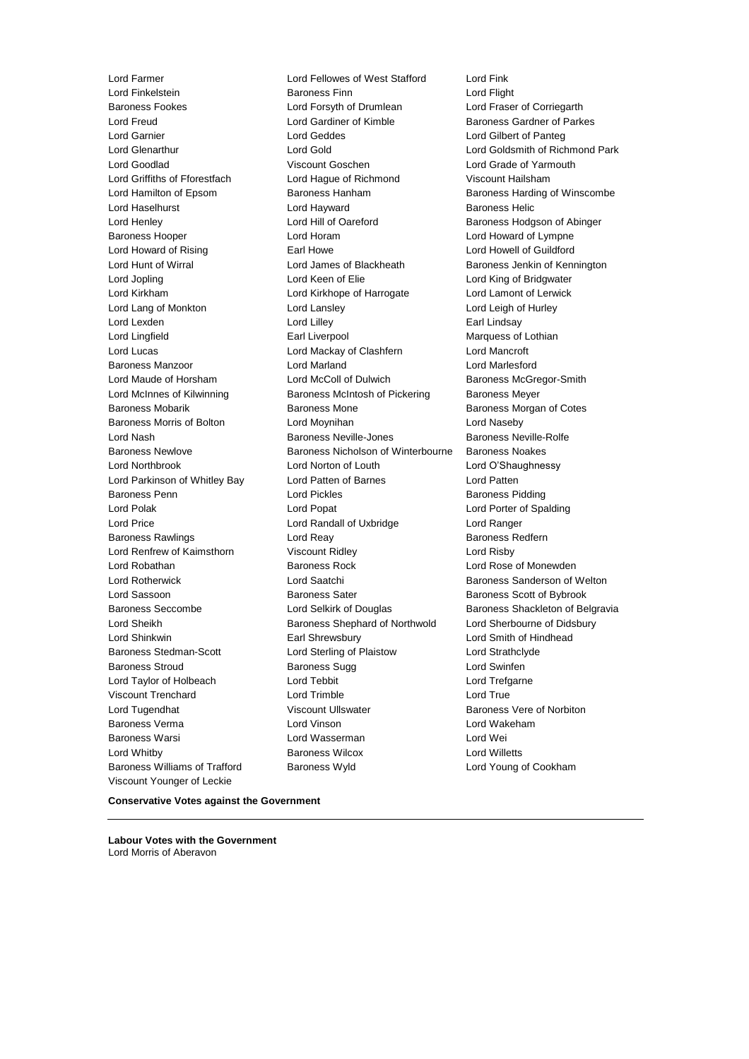Lord Farmer Lord Fellowes of West Stafford Lord Fink Baroness Williams of Trafford Baroness Wyld Lord Young of Cookham Viscount Younger of Leckie

Lord Finkelstein Baroness Finn Lord Flight Baroness Fookes Lord Forsyth of Drumlean Lord Fraser of Corriegarth Lord Freud **Lord Gardiner of Kimble** Baroness Gardner of Parkes Lord Garnier Lord Geddes Lord Gilbert of Panteg Lord Glenarthur **Lord Gold Lord Gold Lord Goldsmith of Richmond Park**<br>
Lord Goodlad **Lord Goodlad** Viscount Goschen Lord Grade of Yarmouth Viscount Goschen Lord Grade of Yarmouth Lord Griffiths of Fforestfach Lord Hague of Richmond Viscount Hailsham Lord Hamilton of Epsom Baroness Hanham Baroness Harding of Winscombe Lord Haselhurst **Lord Hayward** Baroness Helic Lord Henley **Lord Hill of Oareford** Baroness Hodgson of Abinger Baroness Hooper Lord Horam Lord Howard of Lympne Lord Howard of Rising **Earl Howe** Earl Howe Lord Howell of Guildford Lord Hunt of Wirral Lord James of Blackheath Baroness Jenkin of Kennington Lord Jopling Lord Keen of Elie Lord King of Bridgwater Lord Kirkham Lord Kirkhope of Harrogate Lord Lamont of Lerwick Lord Lang of Monkton Lord Lansley Lord Leigh of Hurley Lord Lexden **Lord Lilley** Lord Lilley **Communicate Lord Lilley** Earl Lindsay Lord Lingfield **Earl Liverpool** Earl Liverpool **Earl Lingfield** Marquess of Lothian Lord Lucas Lord Mackay of Clashfern Lord Mancroft Baroness Manzoor Lord Marland Lord Marlesford Lord Maude of Horsham **Lord McColl of Dulwich** Baroness McGregor-Smith Lord McInnes of Kilwinning **Baroness McIntosh of Pickering** Baroness Meyer Baroness Mobarik Baroness Mone Baroness Morgan of Cotes Baroness Morris of Bolton Lord Moynihan Lord Naseby Lord Nash Baroness Neville-Jones Baroness Neville-Rolfe Baroness Newlove Baroness Nicholson of Winterbourne Baroness Noakes Lord Northbrook Lord Norton of Louth Lord O'Shaughnessy Lord Parkinson of Whitley Bay Lord Patten of Barnes Lord Patten Baroness Penn **Example 2** Lord Pickles **Baroness Pidding** Lord Polak Lord Popat Lord Porter of Spalding Lord Price Lord Randall of Uxbridge Lord Ranger Baroness Rawlings **Baroness Redfern** Lord Reay **Baroness Redfern** Lord Renfrew of Kaimsthorn Viscount Ridley Lord Risby Lord Robathan **Baroness Rock** Lord Rose of Monewden Lord Rotherwick **Lord Saatchi** Baroness Sanderson of Welton Lord Sassoon **Baroness Sater** Baroness Sater Baroness Scott of Bybrook Baroness Seccombe **Lord Selkirk of Douglas** Baroness Shackleton of Belgravia Lord Sheikh **Baroness Shephard of Northwold** Lord Sherbourne of Didsbury Lord Shinkwin Earl Shrewsbury Lord Smith of Hindhead Baroness Stedman-Scott Lord Sterling of Plaistow Lord Strathclyde Baroness Stroud **Baroness Sugg Community** Baroness Sugg Lord Swinfen Lord Taylor of Holbeach **Lord Tebbit** Lord Trefgarne Viscount Trenchard Lord Trimble Lord True Lord Tugendhat Viscount Ullswater Baroness Vere of Norbiton Baroness Verma Lord Vinson Lord Wakeham Baroness Warsi Lord Wasserman Lord Wei Lord Whitby Baroness Wilcox Lord Willetts

**Conservative Votes against the Government**

**Labour Votes with the Government** Lord Morris of Aberavon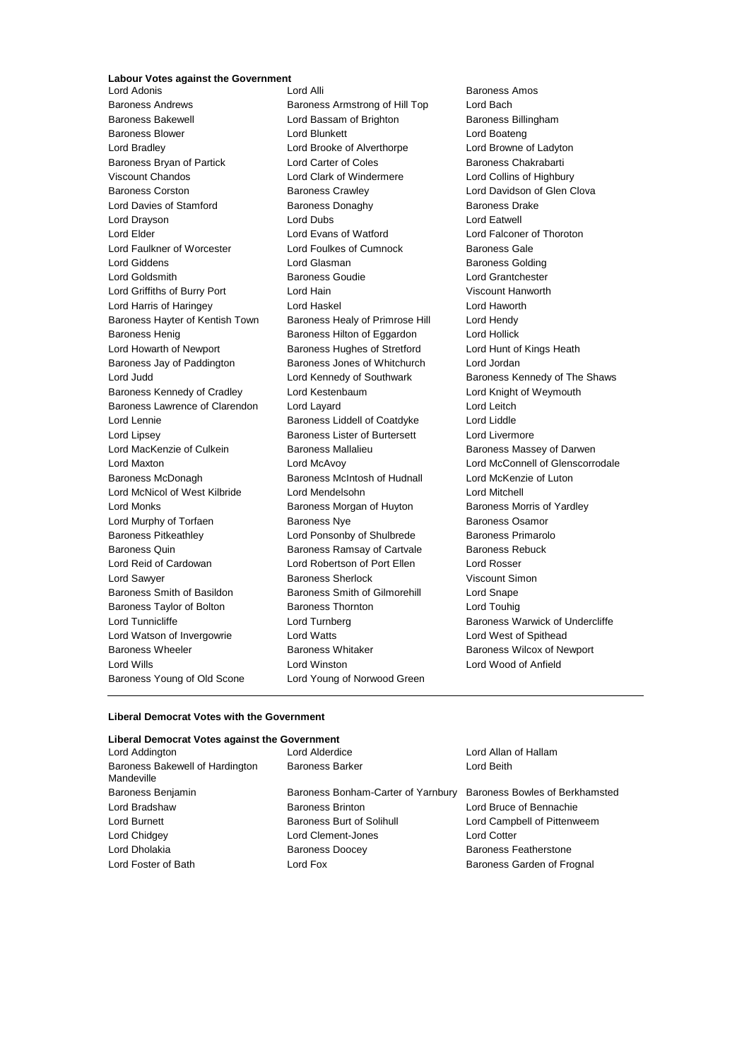### **Labour Votes against the Government**

Baroness Andrews **Baroness Armstrong of Hill Top** Lord Bach Baroness Bakewell **Baroness Billingham** Lord Bassam of Brighton **Baroness Billingham** Baroness Blower **Lord Blunkett** Lord Boateng Lord Boateng Lord Bradley Lord Brooke of Alverthorpe Lord Browne of Ladyton Baroness Bryan of Partick **Lord Carter of Coles** Baroness Chakrabarti Viscount Chandos Lord Clark of Windermere Lord Collins of Highbury Baroness Corston **Baroness Crawley Baroness Crawley** Lord Davidson of Glen Clova Lord Davies of Stamford **Baroness Donaghy** Baroness Dake Lord Drayson Lord Dubs Lord Eatwell Lord Elder Lord Evans of Watford Lord Falconer of Thoroton Lord Faulkner of Worcester Lord Foulkes of Cumnock Baroness Gale Lord Giddens **Lord Glasman** Baroness Golding Lord Goldsmith Baroness Goudie Lord Grantchester Lord Griffiths of Burry Port Lord Hain Viscount Hanworth Lord Harris of Haringey Lord Haskel Lord Haworth Baroness Hayter of Kentish Town Baroness Healy of Primrose Hill Lord Hendy Baroness Henig Baroness Hilton of Eggardon Lord Hollick Lord Howarth of Newport Baroness Hughes of Stretford Lord Hunt of Kings Heath Baroness Jay of Paddington Baroness Jones of Whitchurch Lord Jordan Lord Judd **Lord Kennedy of Southwark** Baroness Kennedy of The Shaws Baroness Kennedy of Cradley Lord Kestenbaum Lord Knight of Weymouth Baroness Lawrence of Clarendon Lord Layard Lord Lord Lord Leitch Lord Lennie Baroness Liddell of Coatdyke Lord Liddle Lord Lipsey Baroness Lister of Burtersett Lord Livermore Lord MacKenzie of Culkein **Baroness Mallalieu** Baroness Massey of Darwen Lord Maxton Lord McAvoy Lord McConnell of Glenscorrodale Baroness McDonagh Baroness McIntosh of Hudnall Lord McKenzie of Luton Lord McNicol of West Kilbride Lord Mendelsohn Lord Mitchell Lord Monks **Baroness Morgan of Huyton** Baroness Morris of Yardley Lord Murphy of Torfaen **Baroness Nye** Baroness Osamor Baroness Pitkeathley Lord Ponsonby of Shulbrede Baroness Primarolo Baroness Quin **Baroness Ramsay of Cartvale** Baroness Rebuck Lord Reid of Cardowan Lord Robertson of Port Ellen Lord Rosser Lord Sawyer Baroness Sherlock Viscount Simon Baroness Smith of Basildon Baroness Smith of Gilmorehill Lord Snape Baroness Taylor of Bolton Baroness Thornton Lord Touhig Lord Tunnicliffe **Lord Turnberg** Lord Turnberg **Baroness Warwick of Undercliffe** Lord Watson of Invergowrie Lord Watts Lord West of Spithead Baroness Wheeler **Baroness Whitaker** Baroness Whitaker **Baroness Wilcox of Newport** Lord Wills Lord Winston Lord Wood of Anfield Baroness Young of Old Scone Lord Young of Norwood Green

Baroness Amos

#### **Liberal Democrat Votes with the Government**

#### **Liberal Democrat Votes against the Government**

| Lord Addington                                | Lord Alderdice                     | Lord Allan of Hallam           |  |
|-----------------------------------------------|------------------------------------|--------------------------------|--|
| Baroness Bakewell of Hardington<br>Mandeville | <b>Baroness Barker</b>             | Lord Beith                     |  |
| Baroness Benjamin                             | Baroness Bonham-Carter of Yarnbury | Baroness Bowles of Berkhamsted |  |
| Lord Bradshaw                                 | <b>Baroness Brinton</b>            | Lord Bruce of Bennachie        |  |
| Lord Burnett                                  | Baroness Burt of Solihull          | Lord Campbell of Pittenweem    |  |
| Lord Chidgey                                  | Lord Clement-Jones                 | <b>Lord Cotter</b>             |  |
| Lord Dholakia                                 | <b>Baroness Doocey</b>             | <b>Baroness Featherstone</b>   |  |
| Lord Foster of Bath                           | Lord Fox                           | Baroness Garden of Frognal     |  |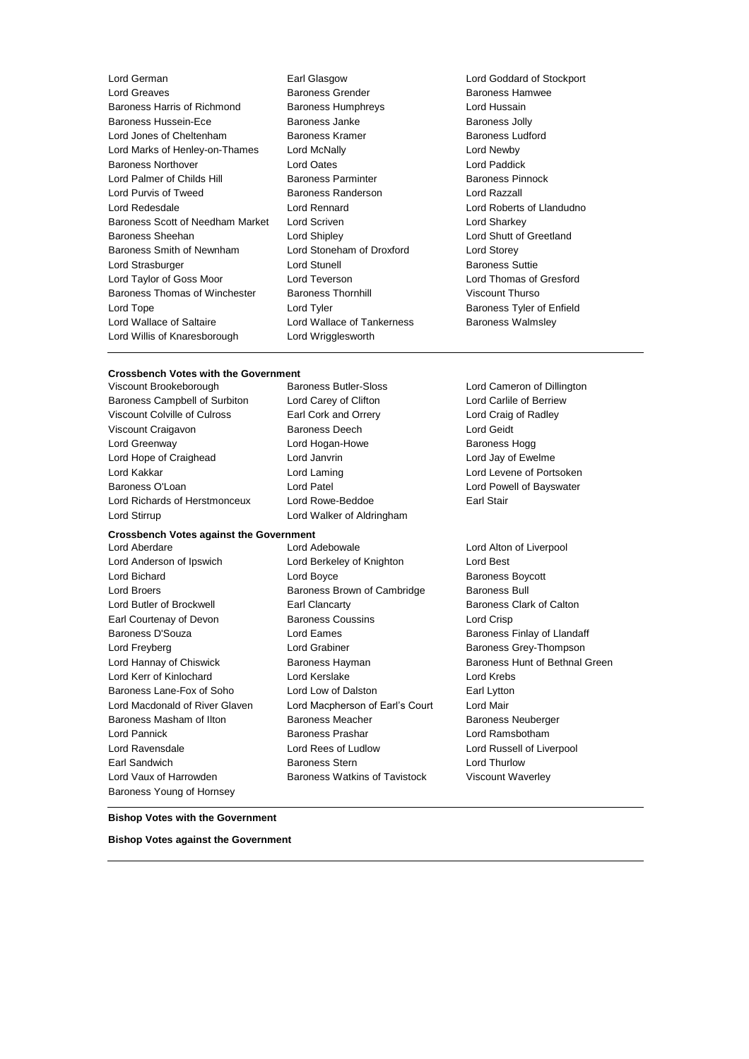| Lord German                      |
|----------------------------------|
| Lord Greaves                     |
| Baroness Harris of Richmond      |
| Baroness Hussein-Ece             |
| Lord Jones of Cheltenham         |
| Lord Marks of Henley-on-Thames   |
| <b>Baroness Northover</b>        |
| Lord Palmer of Childs Hill       |
| Lord Purvis of Tweed             |
| Lord Redesdale                   |
| Baroness Scott of Needham Market |
| <b>Baroness Sheehan</b>          |
| Baroness Smith of Newnham        |
| Lord Strasburger                 |
| Lord Taylor of Goss Moor         |
| Baroness Thomas of Winchester    |
| Lord Tope                        |
| Lord Wallace of Saltaire         |
| Lord Willis of Knaresborough     |
|                                  |

Earl Glasgow **Lord Goddard of Stockport** Baroness Grender Baroness Hamwee Baroness Humphreys **Example Baroness Humphreys** Lord Hussain Baroness Janke Baroness Jolly Baroness Kramer **Baroness Ludford** Lord McNally **Lord McNally** Lord Newby **Lord Oates North Lord Paddick** Baroness Parminter **Childs Hill Baroness Pinnock** Baroness Randerson Lord Razzall Lord Rennard Lord Roberts of Llandudno Lord Scriven **Market Lord Sharkey** Lord Shipley **Lord Shutt of Greetland** Lord Stoneham of Droxford Lord Storey Lord Stunell **Baroness Suttie** Lord Teverson **Lord Thomas of Gresford** Baroness Thornhill Viscount Thurso Lord Tyler **Lord Tyler Communist Control** Baroness Tyler of Enfield Lord Wallace of Tankerness **Baroness Walmsley** Lord Wrigglesworth

### **Crossbench Votes with the Government**<br>Viscount Brookeborough Baroness Butler-Sloss

Baroness Campbell of Surbiton Lord Carey of Clifton Lord Carlile of Berriew Viscount Colville of Culross Earl Cork and Orrery Lord Craig of Radley Viscount Craigavon Baroness Deech Lord Geidt Lord Greenway **Lord Hogan-Howe** Baroness Hogg **Baroness** Hogg Lord Hope of Craighead Lord Janvrin Lord Jay of Ewelme Lord Kakkar Lord Laming Lord Levene of Portsoken Baroness O'Loan Lord Patel Lord Powell of Bayswater Lord Richards of Herstmonceux Lord Rowe-Beddoe **Earl Stair** 

### **Crossbench Votes against the Government**

Baroness Young of Hornsey

Lord Stirrup Lord Walker of Aldringham

Lord Aberdare Lord Adebowale Lord Alton of Liverpool Lord Anderson of Ipswich Lord Berkeley of Knighton Lord Best Lord Bichard **Lord Boyce Baroness Boycott Lord Boycott Baroness Boycott** Lord Broers **Baroness Brown of Cambridge** Baroness Bull Lord Butler of Brockwell Earl Clancarty Baroness Clark of Calton Earl Courtenay of Devon Baroness Coussins Lord Crisp Baroness D'Souza **Baroness Exercical Exercica Lord Eames** Baroness Finlay of Llandaff Lord Freyberg **Construction Construction Construction** Lord Grabiner **Baroness Grey-Thompson** Lord Hannay of Chiswick **Baroness Hayman** Baroness Hayman Baroness Hunt of Bethnal Green Lord Kerr of Kinlochard Lord Kerslake Lord Krebs Baroness Lane-Fox of Soho Lord Low of Dalston Earl Lytton Lord Macdonald of River Glaven Lord Macpherson of Earl's Court Lord Mair Baroness Masham of Ilton Baroness Meacher Baroness Neuberger Lord Pannick Baroness Prashar Lord Ramsbotham Lord Ravensdale Lord Rees of Ludlow Lord Russell of Liverpool Earl Sandwich **Baroness Stern Baroness Stem** Lord Thurlow Lord Vaux of Harrowden **Baroness Watkins of Tavistock** Viscount Waverley

Lord Cameron of Dillington

#### **Bishop Votes with the Government**

**Bishop Votes against the Government**